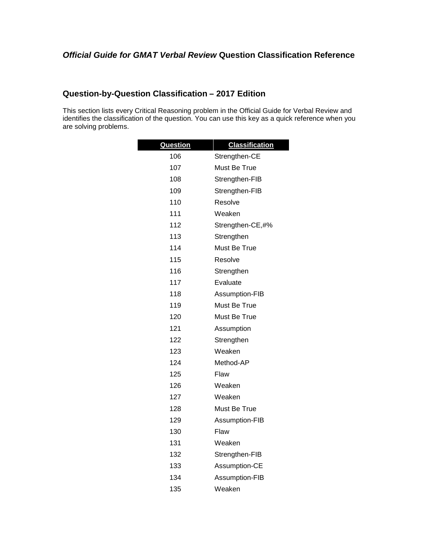## **Question-by-Question Classification – 2017 Edition**

This section lists every Critical Reasoning problem in the Official Guide for Verbal Review and identifies the classification of the question. You can use this key as a quick reference when you are solving problems.

| <b>Question</b> | <b>Classification</b> |
|-----------------|-----------------------|
| 106             | Strengthen-CE         |
| 107             | Must Be True          |
| 108             | Strengthen-FIB        |
| 109             | Strengthen-FIB        |
| 110             | Resolve               |
| 111             | Weaken                |
| 112             | Strengthen-CE,#%      |
| 113             | Strengthen            |
| 114             | Must Be True          |
| 115             | Resolve               |
| 116             | Strengthen            |
| 117             | Evaluate              |
| 118             | Assumption-FIB        |
| 119             | Must Be True          |
| 120             | Must Be True          |
| 121             | Assumption            |
| 122             | Strengthen            |
| 123             | Weaken                |
| 124             | Method-AP             |
| 125             | Flaw                  |
| 126             | Weaken                |
| 127             | Weaken                |
| 128             | Must Be True          |
| 129             | Assumption-FIB        |
| 130             | Flaw                  |
| 131             | Weaken                |
| 132             | Strengthen-FIB        |
| 133             | Assumption-CE         |
| 134             | Assumption-FIB        |
| 135             | Weaken                |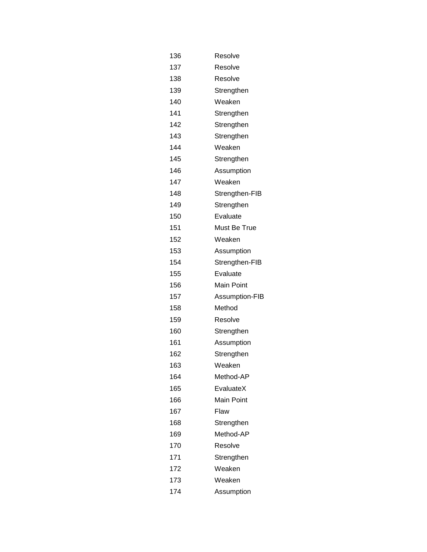| 136 | Resolve        |
|-----|----------------|
| 137 | Resolve        |
| 138 | Resolve        |
| 139 | Strengthen     |
| 140 | Weaken         |
| 141 | Strengthen     |
| 142 | Strengthen     |
| 143 | Strengthen     |
| 144 | Weaken         |
| 145 | Strengthen     |
| 146 | Assumption     |
| 147 | Weaken         |
| 148 | Strengthen-FIB |
| 149 | Strengthen     |
| 150 | Evaluate       |
| 151 | Must Be True   |
| 152 | Weaken         |
| 153 | Assumption     |
| 154 | Strengthen-FIB |
| 155 | Evaluate       |
| 156 | Main Point     |
| 157 | Assumption-FIB |
| 158 | Method         |
| 159 | Resolve        |
| 160 | Strengthen     |
| 161 | Assumption     |
| 162 | Strengthen     |
| 163 | Weaken         |
| 164 | Method-AP      |
| 165 | EvaluateX      |
| 166 | Main Point     |
| 167 | Flaw           |
| 168 | Strengthen     |
| 169 | Method-AP      |
| 170 | Resolve        |
| 171 | Strengthen     |
| 172 | Weaken         |
| 173 | Weaken         |
| 174 | Assumption     |
|     |                |